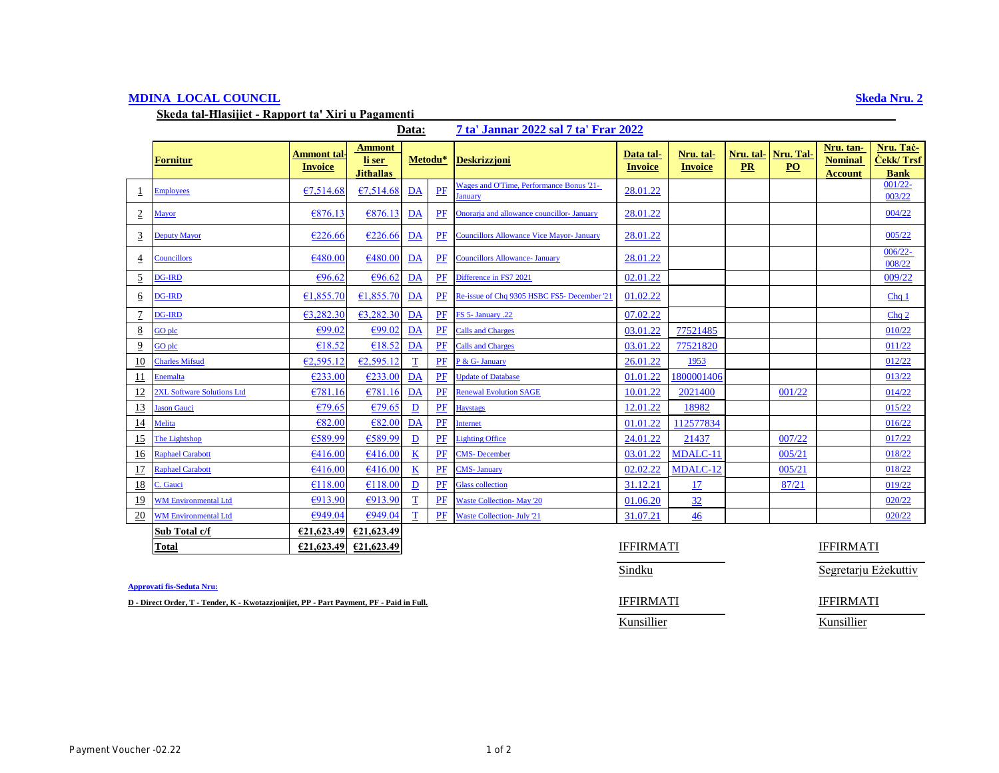## **MDINA LOCAL COUNCIL Skeda Nru. 2**

**Skeda tal-Ħlasijiet - Rapport ta' Xiri u Pagamenti** 

# **Data: 7 ta' Jannar 2022 sal 7 ta' Frar 2022**

|                  | Fornitur                    | Ammont tal<br><b>Invoice</b> | Ammont<br>li ser<br><b>Jithallas</b> | Metodu*     |    | <b>Deskrizzjoni</b>                                        | Data tal-<br><b>Invoice</b> | Nru. tal-<br><b>Invoice</b> | Nru. tal-  <br><b>PR</b> | Nru. Tal-<br>PO | Nru. tan-<br><b>Nominal</b><br><b>Account</b> | Nru. Tač-<br><b>Cekk/Trsf</b><br><b>Bank</b> |
|------------------|-----------------------------|------------------------------|--------------------------------------|-------------|----|------------------------------------------------------------|-----------------------------|-----------------------------|--------------------------|-----------------|-----------------------------------------------|----------------------------------------------|
|                  | <b>Employees</b>            | €7.514.68                    | €7,514.68                            | DA          | PF | <b>Wages and O'Time, Performance Bonus '21-</b><br>January | 28.01.22                    |                             |                          |                 |                                               | $001/22 -$<br>003/22                         |
| $\overline{2}$   | <b>Mayor</b>                | €876.13                      | €876.13                              | DA          | PF | Onorarja and allowance councillor- January                 | 28.01.22                    |                             |                          |                 |                                               | 004/22                                       |
| $\overline{3}$   | <b>Deputy Mayor</b>         | €226.66                      | €226.66                              | DA          | PF | <b>Councillors Allowance Vice Mayor- January</b>           | 28.01.22                    |                             |                          |                 |                                               | 005/22                                       |
| $\overline{4}$   | Councillors                 | €480.00                      | €480.00                              | DA          | PF | <b>Councillors Allowance- January</b>                      | 28.01.22                    |                             |                          |                 |                                               | $006/22 -$<br>008/22                         |
| $\overline{2}$   | <b>DG-IRD</b>               | €96.62                       | €96.62                               | DA          | PF | Difference in FS7 2021                                     | 02.01.22                    |                             |                          |                 |                                               | 009/22                                       |
| 6                | <b>DG-IRD</b>               | €1,855.70                    | €1,855.70                            | DA          | PF | Re-issue of Chq 9305 HSBC FS5- December '21                | 01.02.22                    |                             |                          |                 |                                               | Chq <sub>1</sub>                             |
| $\overline{1}$   | <b>DG-IRD</b>               | €3,282.30                    | €3,282.30                            | DA          | PF | FS 5- January .22                                          | 07.02.22                    |                             |                          |                 |                                               | Chq <sub>2</sub>                             |
| 8                | GO plc                      | €99.02                       | €99.02                               | DA          | PF | <b>Calls and Charges</b>                                   | 03.01.22                    | 77521485                    |                          |                 |                                               | 010/22                                       |
| $\overline{9}$   | GO plc                      | €18.52                       | €18.52                               | DA          | PF | <b>Calls and Charges</b>                                   | 03.01.22                    | 77521820                    |                          |                 |                                               | 011/22                                       |
| 10               | <b>Charles Mifsud</b>       | €2,595.12                    | €2,595.12                            | T           | PF | P & G- January                                             | 26.01.22                    | 1953                        |                          |                 |                                               | 012/22                                       |
| 11               | Enemalta                    | €233.00                      | €233.00                              | DA          | PF | <b>Update of Database</b>                                  | 01.01.22                    | 1800001406                  |                          |                 |                                               | 013/22                                       |
| 12               | 2XL Software Solutions Ltd  | €781.16                      | €781.16                              | DA          | PF | <b>Renewal Evolution SAGE</b>                              | 10.01.22                    | 2021400                     |                          | 001/22          |                                               | 014/22                                       |
| 13               | Jason Gauci                 | €79.65                       | €79.65                               | D           | PF | <b>Haystags</b>                                            | 12.01.22                    | 18982                       |                          |                 |                                               | 015/22                                       |
| 14               | Melita                      | €82.00                       | €82.00                               | DA          | PF | Internet                                                   | 01.01.22                    | 112577834                   |                          |                 |                                               | 016/22                                       |
| 15               | The Lightshop               | €589.99                      | €589.99                              | D           | PF | <b>Lighting Office</b>                                     | 24.01.22                    | 21437                       |                          | 007/22          |                                               | 017/22                                       |
| 16               | <b>Raphael Carabott</b>     | €416.00                      | €416.00                              | K           | PF | <b>CMS-December</b>                                        | 03.01.22                    | MDALC-11                    |                          | 005/21          |                                               | 018/22                                       |
| 17               | <b>Raphael Carabott</b>     | €416.00                      | €416.00                              | $\bf K$     | PF | <b>CMS-January</b>                                         | 02.02.22                    | MDALC-12                    |                          | 005/21          |                                               | 018/22                                       |
| <u>18</u>        | C. Gauci                    | €118.00                      | €118.00                              | D           | PF | <b>Glass collection</b>                                    | 31.12.21                    | 17                          |                          | 87/21           |                                               | 019/22                                       |
| 19               | <b>WM Environmental Ltd</b> | €913.90                      | €913.90                              | $\mathbf T$ | PF | <b>Waste Collection-May '20</b>                            | 01.06.20                    | 32                          |                          |                 |                                               | 020/22                                       |
| $\underline{20}$ | <b>WM Environmental Ltd</b> | €949.04                      | €949.04                              | T           | PF | <b>Waste Collection- July '21</b>                          | 31.07.21                    | 46                          |                          |                 |                                               | 020/22                                       |
|                  | Sub Total c/f               | €21,623.49                   | €21,623.49                           |             |    |                                                            |                             |                             |                          |                 |                                               |                                              |
|                  | Total                       | £21,623.49                   | €21,623.49                           |             |    |                                                            | <b>IFFIRMATI</b>            |                             |                          |                 | <b>IFFIRMATI</b>                              |                                              |

### **Approvati fis-Seduta Nru:**

**D** - Direct Order, T - Tender, K - Kwotazzjonijiet, PP - Part Payment, PF - Paid in Full. **IFFIRMATI** IFFIRMATI

Sindku Segretarju Eżekuttiv

Kunsillier Kunsillier